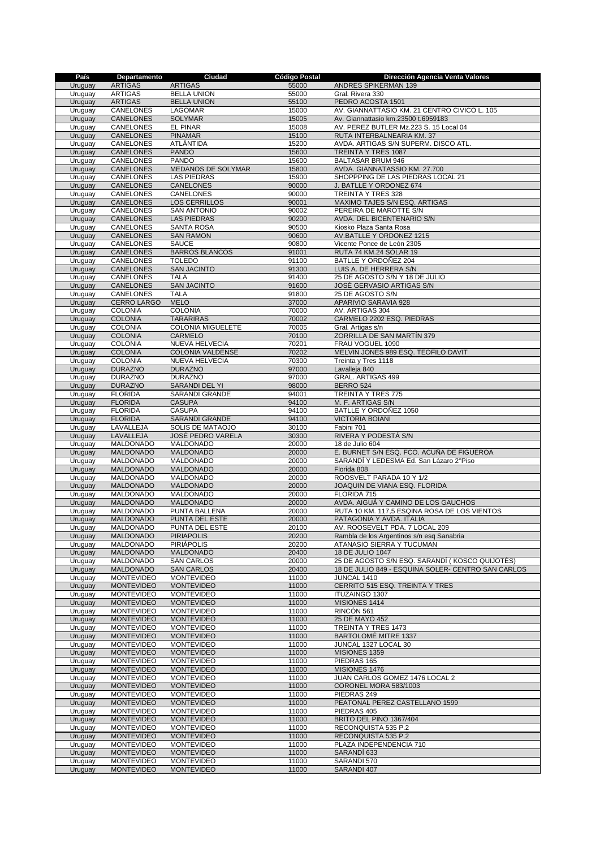| País               | Departamento                  | Ciudad                            | <b>Código Postal</b> | Dirección Agencia Venta Valores                       |
|--------------------|-------------------------------|-----------------------------------|----------------------|-------------------------------------------------------|
| Uruguay            | <b>ARTIGAS</b>                | <b>ARTIGAS</b>                    | 55000                | ANDRES SPIKERMAN 139                                  |
| Uruguay            | <b>ARTIGAS</b>                | <b>BELLA UNION</b>                | 55000                | Gral. Rivera 330                                      |
| Uruguay            | <b>ARTIGAS</b>                | <b>BELLA UNION</b>                | 55100                | PEDRO ACOSTA 1501                                     |
| Uruguay            | <b>CANELONES</b>              | LAGOMAR                           | 15000                | AV. GIANNATTASIO KM. 21 CENTRO CIVICO L. 105          |
| Uruguay            | CANELONES                     | <b>SOLYMAR</b>                    | 15005                | Av. Giannattasio km.23500 t.6959183                   |
| Uruguay            | CANELONES                     | <b>EL PINAR</b>                   | 15008                | AV. PEREZ BUTLER Mz.223 S. 15 Local 04                |
| Uruguay            | CANELONES                     | <b>PINAMAR</b>                    | 15100                | RUTA INTERBALNEARIA KM. 37                            |
| Uruguay            | CANELONES                     | ATLÁNTIDA                         | 15200                | AVDA. ARTIGAS S/N SUPERM. DISCO ATL.                  |
| Uruguay            | <b>CANELONES</b>              | <b>PANDO</b>                      | 15600                | TREINTA Y TRES 1087                                   |
| Uruguay            | CANELONES                     | <b>PANDO</b>                      | 15600                | <b>BALTASAR BRUM 946</b>                              |
| Uruguay            | <b>CANELONES</b>              | MEDANOS DE SOLYMAR                | 15800                | AVDA. GIANNATASSIO KM. 27.700                         |
| Uruguay            | CANELONES                     | <b>LAS PIEDRAS</b>                | 15900                | SHOPPPING DE LAS PIEDRAS LOCAL 21                     |
| Uruguay            | <b>CANELONES</b>              | CANELONES                         | 90000<br>90000       | J. BATLLE Y ORDONEZ 674                               |
| Uruguay            | CANELONES                     | CANELONES<br><b>LOS CERRILLOS</b> |                      | TREINTA Y TRES 328                                    |
| Uruguay            | CANELONES                     |                                   | 90001                | MAXIMO TAJES S/N ESQ. ARTIGAS                         |
| Uruguay            | CANELONES                     | <b>SAN ANTONIO</b>                | 90002                | PEREIRA DE MAROTTE S/N                                |
| Uruguay<br>Uruguay | <b>CANELONES</b><br>CANELONES | <b>LAS PIEDRAS</b><br>SANTA ROSA  | 90200<br>90500       | AVDA. DEL BICENTENARIO S/N<br>Kiosko Plaza Santa Rosa |
| Uruguay            | <b>CANELONES</b>              | <b>SAN RAMON</b>                  | 90600                | AV.BATLLE Y ORDONEZ 1215                              |
| Uruguay            | CANELONES                     | <b>SAUCE</b>                      | 90800                | Vicente Ponce de León 2305                            |
| Uruguay            | <b>CANELONES</b>              | <b>BARROS BLANCOS</b>             | 91001                | RUTA 74 KM.24 SOLAR 19                                |
| Uruguay            | CANELONES                     | <b>TOLEDO</b>                     | 91100                | BATLLE Y ORDOÑEZ 204                                  |
| Uruguay            | CANELONES                     | <b>SAN JACINTO</b>                | 91300                | LUIS A. DE HERRERA S/N                                |
| Uruguay            | CANELONES                     | <b>TALA</b>                       | 91400                | 25 DE AGOSTO S/N Y 18 DE JULIO                        |
| Uruguay            | <b>CANELONES</b>              | <b>SAN JACINTO</b>                | 91600                | JOSÉ GERVASIO ARTIGAS S/N                             |
| Uruguay            | CANELONES                     | <b>TALA</b>                       | 91800                | 25 DE AGOSTO S/N                                      |
| Uruguay            | CERRO LARGO                   | <b>MELO</b>                       | 37000                | APARIVIO SARAVIA 928                                  |
| Uruguay            | <b>COLONIA</b>                | <b>COLONIA</b>                    | 70000                | AV. ARTIGAS 304                                       |
| Uruguay            | <b>COLONIA</b>                | <b>TARARIRAS</b>                  | 70002                | CARMELO 2202 ESQ. PIEDRAS                             |
| Uruguay            | <b>COLONIA</b>                | <b>COLONIA MIGUELETE</b>          | 70005                | Gral. Artigas s/n                                     |
| Uruguay            | <b>COLONIA</b>                | CARMELO                           | 70100                | ZORRILLA DE SAN MARTÍN 379                            |
| Uruguay            | <b>COLONIA</b>                | NUEVA HELVECIA                    | 70201                | FRAU VOGUEL 1090                                      |
| Uruguay            | <b>COLONIA</b>                | <b>COLONIA VALDENSE</b>           | 70202                | MELVIN JONES 989 ESQ. TEOFILO DAVIT                   |
| Uruguay            | <b>COLONIA</b>                | NUEVA HELVECIA                    | 70300                | Treinta y Tres 1118                                   |
| Uruguay            | <b>DURAZNO</b>                | <b>DURAZNO</b>                    | 97000                | Lavalleja 840                                         |
| Uruguay            | <b>DURAZNO</b>                | <b>DURAZNO</b>                    | 97000                | GRAL. ARTIGAS 499                                     |
| Uruguay            | <b>DURAZNO</b>                | SARANDI DEL YI                    | 98000                | <b>BERRO 524</b>                                      |
| Uruguay            | <b>FLORIDA</b>                | SARANDÍ GRANDE                    | 94001                | TREINTA Y TRES 775                                    |
| Uruguay            | <b>FLORIDA</b>                | <b>CASUPA</b>                     | 94100                | M. F. ARTIGAS S/N                                     |
| Uruguay            | <b>FLORIDA</b>                | <b>CASUPA</b>                     | 94100                | BATLLE Y ORDOÑEZ 1050                                 |
| Uruguay            | <b>FLORIDA</b>                | SARANDÍ GRANDE                    | 94100                | <b>VICTORIA BOIANI</b>                                |
| Uruguay            | LAVALLEJA                     | SOLIS DE MATAOJO                  | 30100                | Fabini 701                                            |
| Uruguay            | LAVALLEJA                     | JOSÉ PEDRO VARELA                 | 30300                | RIVERA Y PODESTÁ S/N                                  |
| Uruguay            | <b>MALDONADO</b>              | <b>MALDONADO</b>                  | 20000                | 18 de Julio 604                                       |
| Uruguay            | MALDONADO                     | <b>MALDONADO</b>                  | 20000                | E. BURNET S/N ESQ. FCO. ACUÑA DE FIGUEROA             |
| Uruguay            | MALDONADO                     | <b>MALDONADO</b>                  | 20000                | SARANDÍ Y LEDESMA Ed. San Lázaro 2°Piso               |
| Uruguay            | MALDONADO                     | MALDONADO                         | 20000                | Florida 808                                           |
| Uruguay            | <b>MALDONADO</b>              | <b>MALDONADO</b>                  | 20000                | ROOSVELT PARADA 10 Y 1/2                              |
| Uruguay            | MALDONADO                     | <b>MALDONADO</b>                  | 20000                | JOAQUIN DE VIANA ESQ. FLORIDA                         |
| Uruguay            | MALDONADO                     | MALDONADO                         | 20000                | FLORIDA 715                                           |
| Uruguay            | MALDONADO                     | <b>MALDONADO</b>                  | 20000                | AVDA. AIGUÁ Y CAMINO DE LOS GAUCHOS                   |
| Uruguay            | <b>MALDONADO</b>              | PUNTA BALLENA                     | 20000                | RUTA 10 KM. 117,5 ESQINA ROSA DE LOS VIENTOS          |
| Uruguay            | <b>MALDONADO</b>              | PUNTA DEL ESTE                    | 20000                | PATAGONIA Y AVDA. ITALIA                              |
| Uruguay            | <b>MALDONADO</b>              | PUNTA DEL ESTE                    | 20100                | AV. ROOSEVELT PDA. 7 LOCAL 209                        |
| Uruguay            | <b>MALDONADO</b>              | <b>PIRIAPOLIS</b>                 | 20200                | Rambla de los Argentinos s/n esg Sanabria             |
| Uruguay            | <b>MALDONADO</b>              | <b>PIRIÁPOLIS</b>                 | 20200                | <b>ATANASIO SIERRA Y TUCUMAN</b>                      |
| Uruguay            | MALDONADO                     | MALDONADO                         | 20400                | 18 DE JULIO 1047                                      |
| Uruguay            | <b>MALDONADO</b>              | <b>SAN CARLOS</b>                 | 20000                | 25 DE AGOSTO S/N ESQ. SARANDÍ (KOSCO QUIJOTÉS)        |
| Uruguay            | MALDONADO                     | <b>SAN CARLOS</b>                 | 20400                | 18 DE JULIO 849 - ESQUINA SOLER- CENTRO SAN CARLOS    |
| Uruguay            | <b>MONTEVIDEO</b>             | <b>MONTEVIDEO</b>                 | 11000                | JUNCAL 1410                                           |
| Uruguay            | <b>MONTEVIDEO</b>             | <b>MONTEVIDEO</b>                 | 11000                | CERRITO 515 ESQ. TREINTA Y TRES                       |
| Uruguay            | <b>MONTEVIDEO</b>             | <b>MONTEVIDEO</b>                 | 11000                | <b>ITUZAINGÓ 1307</b>                                 |
| Uruguay            | <b>MONTEVIDEO</b>             | <b>MONTEVIDEO</b>                 | 11000                | MISIONES 1414                                         |
| Uruguay            | <b>MONTEVIDEO</b>             | <b>MONTEVIDEO</b>                 | 11000                | RINCON 561                                            |
| Uruguay            | <b>MONTEVIDEO</b>             | <b>MONTEVIDEO</b>                 | 11000                | 25 DE MAYO 452                                        |
| Uruguay            | <b>MONTEVIDEO</b>             | <b>MONTEVIDEO</b>                 | 11000                | TREINTA Y TRES 1473                                   |
| Uruguay            | <b>MONTEVIDEO</b>             | <b>MONTEVIDEO</b>                 | 11000                | BARTOLOMÉ MITRE 1337                                  |
| Uruguay            | <b>MONTEVIDEO</b>             | <b>MONTEVIDEO</b>                 | 11000                | JUNCAL 1327 LOCAL 30                                  |
| Uruguay            | <b>MONTEVIDEO</b>             | <b>MONTEVIDEO</b>                 | 11000                | MISIONES 1359                                         |
| Uruguay            | <b>MONTEVIDEO</b>             | <b>MONTEVIDEO</b>                 | 11000                | PIEDRAS 165                                           |
| Uruguay            | <b>MONTEVIDEO</b>             | <b>MONTEVIDEO</b>                 | 11000                | MISIONES 1476                                         |
| Uruguay            | <b>MONTEVIDEO</b>             | <b>MONTEVIDEO</b>                 | 11000                | JUAN CARLOS GOMEZ 1476 LOCAL 2                        |
| Uruguay            | <b>MONTEVIDEO</b>             | <b>MONTEVIDEO</b>                 | 11000                | CORONEL MORA 583/1003                                 |
| Uruguay            | <b>MONTEVIDEO</b>             | <b>MONTEVIDEO</b>                 | 11000                | PIEDRAS 249                                           |
| Uruguay            | <b>MONTEVIDEO</b>             | <b>MONTEVIDEO</b>                 | 11000                | PEATONAL PEREZ CASTELLANO 1599                        |
| Uruguay            | <b>MONTEVIDEO</b>             | <b>MONTEVIDEO</b>                 | 11000                | PIEDRAS 405                                           |
| Uruguay            | <b>MONTEVIDEO</b>             | <b>MONTEVIDEO</b>                 | 11000                | BRITO DEL PINO 1367/404                               |
| Uruguay            | <b>MONTEVIDEO</b>             | <b>MONTEVIDEO</b>                 | 11000                | RECONQUISTA 535 P.2                                   |
| Uruguay            | <b>MONTEVIDEO</b>             | <b>MONTEVIDEO</b>                 | 11000                | RECONQUISTA 535 P.2                                   |
| Uruguay            | <b>MONTEVIDEO</b>             | <b>MONTEVIDEO</b>                 | 11000                | PLAZA INDEPENDENCIA 710                               |
| Uruguay            | <b>MONTEVIDEO</b>             | <b>MONTEVIDEO</b>                 | 11000                | SARANDI 633                                           |
| Uruguay            | <b>MONTEVIDEO</b>             | <b>MONTEVIDEO</b>                 | 11000                | SARANDI 570                                           |
| Uruguay            | <b>MONTEVIDEO</b>             | <b>MONTEVIDEO</b>                 | 11000                | SARANDI 407                                           |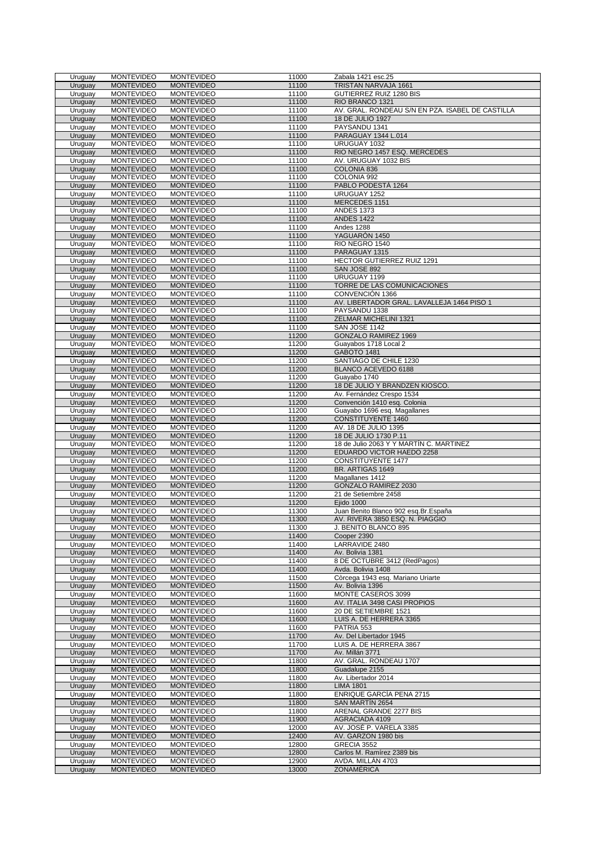| Uruguay            | <b>MONTEVIDEO</b>                      | <b>MONTEVIDEO</b>                      | 11000          | Zabala 1421 esc.25                                                   |
|--------------------|----------------------------------------|----------------------------------------|----------------|----------------------------------------------------------------------|
| Uruguay            | <b>MONTEVIDEO</b>                      | <b>MONTEVIDEO</b>                      | 11100          | TRISTAN NARVAJA 1661                                                 |
| Uruguay            | <b>MONTEVIDEO</b>                      | <b>MONTEVIDEO</b>                      | 11100          | GUTIERREZ RUIZ 1280 BIS                                              |
| Uruguay<br>Uruguay | <b>MONTEVIDEO</b>                      | <b>MONTEVIDEO</b>                      | 11100<br>11100 | RIO BRANCO 1321<br>AV. GRAL. RONDEAU S/N EN PZA. ISABEL DE CASTILLA  |
| Uruguay            | <b>MONTEVIDEO</b><br><b>MONTEVIDEO</b> | <b>MONTEVIDEO</b><br><b>MONTEVIDEO</b> | 11100          | 18 DE JULIO 1927                                                     |
| Uruguay            | <b>MONTEVIDEO</b>                      | <b>MONTEVIDEO</b>                      | 11100          | PAYSANDU 1341                                                        |
| Uruguay            | <b>MONTEVIDEO</b>                      | <b>MONTEVIDEO</b>                      | 11100          | PARAGUAY 1344 L.014                                                  |
| Uruguay            | <b>MONTEVIDEO</b>                      | <b>MONTEVIDEO</b>                      | 11100          | URUGUAY 1032                                                         |
| Uruguay            | <b>MONTEVIDEO</b>                      | <b>MONTEVIDEO</b>                      | 11100          | RIO NEGRO 1457 ESQ. MERCEDES                                         |
| Uruguay            | <b>MONTEVIDEO</b>                      | <b>MONTEVIDEO</b>                      | 11100          | AV. URUGUAY 1032 BIS                                                 |
| Uruguay            | <b>MONTEVIDEO</b>                      | <b>MONTEVIDEO</b>                      | 11100          | COLONIA 836                                                          |
| Uruguay            | <b>MONTEVIDEO</b>                      | <b>MONTEVIDEO</b>                      | 11100          | COLONIA 992                                                          |
| Uruguay            | <b>MONTEVIDEO</b>                      | <b>MONTEVIDEO</b>                      | 11100          | PABLO PODESTÁ 1264                                                   |
| Uruguay            | <b>MONTEVIDEO</b>                      | <b>MONTEVIDEO</b>                      | 11100          | URUGUAY 1252                                                         |
| Uruguay            | <b>MONTEVIDEO</b>                      | <b>MONTEVIDEO</b>                      | 11100          | MERCEDES 1151                                                        |
| Uruguay<br>Uruguay | <b>MONTEVIDEO</b><br><b>MONTEVIDEO</b> | <b>MONTEVIDEO</b><br><b>MONTEVIDEO</b> | 11100<br>11100 | <b>ANDES 1373</b><br><b>ANDES 1422</b>                               |
| Uruguay            | <b>MONTEVIDEO</b>                      | <b>MONTEVIDEO</b>                      | 11100          | Andes 1288                                                           |
| Uruguay            | <b>MONTEVIDEO</b>                      | <b>MONTEVIDEO</b>                      | 11100          | YAGUARÓN 1450                                                        |
| Uruguay            | <b>MONTEVIDEO</b>                      | <b>MONTEVIDEO</b>                      | 11100          | RIO NEGRO 1540                                                       |
| Uruguay            | <b>MONTEVIDEO</b>                      | <b>MONTEVIDEO</b>                      | 11100          | PARAGUAY 1315                                                        |
| Uruguay            | <b>MONTEVIDEO</b>                      | <b>MONTEVIDEO</b>                      | 11100          | HECTOR GUTIERREZ RUIZ 1291                                           |
| Uruguay            | <b>MONTEVIDEO</b>                      | <b>MONTEVIDEO</b>                      | 11100          | SAN JOSE 892                                                         |
| Uruguay            | <b>MONTEVIDEO</b>                      | <b>MONTEVIDEO</b>                      | 11100          | URUGUAY 1199                                                         |
| Uruguay            | <b>MONTEVIDEO</b>                      | <b>MONTEVIDEO</b>                      | 11100          | TORRE DE LAS COMUNICACIONES                                          |
| Uruguay            | <b>MONTEVIDEO</b>                      | <b>MONTEVIDEO</b>                      | 11100          | CONVENCIÓN 1366                                                      |
| Uruguay            | <b>MONTEVIDEO</b>                      | <b>MONTEVIDEO</b>                      | 11100          | AV. LIBERTADOR GRAL. LAVALLEJA 1464 PISO 1                           |
| Uruguay            | <b>MONTEVIDEO</b>                      | <b>MONTEVIDEO</b>                      | 11100          | PAYSANDU 1338                                                        |
| Uruguay            | <b>MONTEVIDEO</b>                      | <b>MONTEVIDEO</b><br><b>MONTEVIDEO</b> | 11100          | ZELMAR MICHELINI 1321<br>SAN JOSE 1142                               |
| Uruguay<br>Uruguay | <b>MONTEVIDEO</b><br><b>MONTEVIDEO</b> | <b>MONTEVIDEO</b>                      | 11100<br>11200 | <b>GONZALO RAMIREZ 1969</b>                                          |
| Uruguay            | <b>MONTEVIDEO</b>                      | <b>MONTEVIDEO</b>                      | 11200          | Guayabos 1718 Local 2                                                |
| Uruguay            | <b>MONTEVIDEO</b>                      | <b>MONTEVIDEO</b>                      | 11200          | GABOTO 1481                                                          |
| Uruguay            | <b>MONTEVIDEO</b>                      | <b>MONTEVIDEO</b>                      | 11200          | SANTIAGO DE CHILE 1230                                               |
| Uruguay            | <b>MONTEVIDEO</b>                      | <b>MONTEVIDEO</b>                      | 11200          | BLANCO ACEVEDO 6188                                                  |
| Uruguay            | <b>MONTEVIDEO</b>                      | <b>MONTEVIDEO</b>                      | 11200          | Guayabo 1740                                                         |
| Uruguay            | <b>MONTEVIDEO</b>                      | <b>MONTEVIDEO</b>                      | 11200          | 18 DE JULIO Y BRANDZEN KIOSCO.                                       |
| Uruguay            | <b>MONTEVIDEO</b>                      | <b>MONTEVIDEO</b>                      | 11200          | Av. Fernández Crespo 1534                                            |
| Uruguay            | <b>MONTEVIDEO</b>                      | <b>MONTEVIDEO</b>                      | 11200          | Convención 1410 esq. Colonia                                         |
| Uruguay            | <b>MONTEVIDEO</b>                      | <b>MONTEVIDEO</b>                      | 11200          | Guayabo 1696 esq. Magallanes                                         |
| Uruguay            | <b>MONTEVIDEO</b>                      | <b>MONTEVIDEO</b>                      | 11200          | <b>CONSTITUYENTE 1460</b>                                            |
| Uruguay            | <b>MONTEVIDEO</b>                      | <b>MONTEVIDEO</b>                      | 11200          | AV. 18 DE JULIO 1395                                                 |
| Uruguay            | <b>MONTEVIDEO</b>                      | <b>MONTEVIDEO</b>                      | 11200          | 18 DE JULIO 1730 P.11                                                |
| Uruguay<br>Uruguay | <b>MONTEVIDEO</b>                      | <b>MONTEVIDEO</b>                      | 11200<br>11200 | 18 de Julio 2063 Y Y MARTÍN C. MARTINEZ<br>EDUARDO VICTOR HAEDO 2258 |
| Uruguay            | <b>MONTEVIDEO</b><br><b>MONTEVIDEO</b> | <b>MONTEVIDEO</b><br><b>MONTEVIDEO</b> | 11200          | <b>CONSTITUYENTE 1477</b>                                            |
| Uruguay            | <b>MONTEVIDEO</b>                      | <b>MONTEVIDEO</b>                      | 11200          | BR. ARTIGAS 1649                                                     |
| Uruguay            | <b>MONTEVIDEO</b>                      | <b>MONTEVIDEO</b>                      | 11200          | Magallanes 1412                                                      |
| Uruguay            | <b>MONTEVIDEO</b>                      | <b>MONTEVIDEO</b>                      | 11200          | GONZALO RAMIREZ 2030                                                 |
| Uruguay            | <b>MONTEVIDEO</b>                      | <b>MONTEVIDEO</b>                      | 11200          | 21 de Setiembre 2458                                                 |
| Uruguay            | <b>MONTEVIDEO</b>                      | <b>MONTEVIDEO</b>                      | 11200          | Ejido 1000                                                           |
| Uruguay            | <b>MONTEVIDEO</b>                      | <b>MONTEVIDEO</b>                      | 11300          | Juan Benito Blanco 902 esq.Br.España                                 |
| Uruguay            | <b>MONTEVIDEO</b>                      | <b>MONTEVIDEO</b>                      | 11300          | AV. RIVERA 3850 ESQ. N. PIAGGIO                                      |
| Uruguay            | <b>MONTEVIDEO</b>                      | <b>MONTEVIDEO</b>                      | 11300          | J. BENITO BLANCO 895                                                 |
| Uruguay            | <b>MONTEVIDEO</b>                      | <b>MONTEVIDEO</b>                      | 11400          | Cooper 2390                                                          |
| Uruguay            | <b>MONTEVIDEO</b>                      | <b>MONTEVIDEO</b>                      | 11400          | LARRAVIDE 2480                                                       |
| Uruguay            | <b>MONTEVIDEO</b>                      | <b>MONTEVIDEO</b>                      | 11400          | Av. Bolivia 1381                                                     |
| Uruguay            | <b>MONTEVIDEO</b>                      | <b>MONTEVIDEO</b>                      | 11400          | 8 DE OCTUBRE 3412 (RedPagos)                                         |
| Uruguay<br>Uruguay | <b>MONTEVIDEO</b><br><b>MONTEVIDEO</b> | <b>MONTEVIDEO</b><br><b>MONTEVIDEO</b> | 11400<br>11500 | Avda. Bolivia 1408<br>Còrcega 1943 esg. Mariano Uriarte              |
| Uruguay            | <b>MONTEVIDEO</b>                      | <b>MONTEVIDEO</b>                      | 11500          | Av. Bolivia 1396                                                     |
| Uruguay            | <b>MONTEVIDEO</b>                      | <b>MONTEVIDEO</b>                      | 11600          | MONTE CASEROS 3099                                                   |
| Uruguay            | <b>MONTEVIDEO</b>                      | <b>MONTEVIDEO</b>                      | 11600          | AV. ITALIA 3498 CASI PROPIOS                                         |
| Uruguay            | <b>MONTEVIDEO</b>                      | <b>MONTEVIDEO</b>                      | 11600          | 20 DE SETIEMBRE 1521                                                 |
| Uruguay            | <b>MONTEVIDEO</b>                      | <b>MONTEVIDEO</b>                      | 11600          | LUIS A. DE HERRERA 3365                                              |
| Uruguay            | <b>MONTEVIDEO</b>                      | <b>MONTEVIDEO</b>                      | 11600          | PATRIA 553                                                           |
| Uruguay            | <b>MONTEVIDEO</b>                      | <b>MONTEVIDEO</b>                      | 11700          | Av. Del Libertador 1945                                              |
| Uruguay            | <b>MONTEVIDEO</b>                      | <b>MONTEVIDEO</b>                      | 11700          | LUIS A. DE HERRERA 3867                                              |
| Uruguay            | <b>MONTEVIDEO</b>                      | <b>MONTEVIDEO</b>                      | 11700          | Av. Millán 3771                                                      |
| Uruguay            | <b>MONTEVIDEO</b>                      | <b>MONTEVIDEO</b>                      | 11800          | AV. GRAL. RONDEAU 1707                                               |
| Uruguay            | <b>MONTEVIDEO</b>                      | <b>MONTEVIDEO</b>                      | 11800          | Guadalupe 2155                                                       |
| Uruguay            | <b>MONTEVIDEO</b>                      | <b>MONTEVIDEO</b>                      | 11800          | Av. Libertador 2014                                                  |
| Uruguay            | <b>MONTEVIDEO</b>                      | <b>MONTEVIDEO</b>                      | 11800          | <b>LIMA 1801</b>                                                     |
| Uruguay<br>Uruguay | <b>MONTEVIDEO</b><br><b>MONTEVIDEO</b> | <b>MONTEVIDEO</b><br><b>MONTEVIDEO</b> | 11800<br>11800 | ENRIQUE GARCÍA PENA 2715<br>SAN MARTIN 2654                          |
| Uruguay            | <b>MONTEVIDEO</b>                      | <b>MONTEVIDEO</b>                      | 11800          | ARENAL GRANDE 2277 BIS                                               |
| Uruguay            | <b>MONTEVIDEO</b>                      | <b>MONTEVIDEO</b>                      | 11900          | AGRACIADA 4109                                                       |
| Uruguay            | <b>MONTEVIDEO</b>                      | <b>MONTEVIDEO</b>                      | 12000          | AV. JOSÉ P. VARELA 3385                                              |
| Uruguay            | <b>MONTEVIDEO</b>                      | <b>MONTEVIDEO</b>                      | 12400          | AV. GARZON 1980 bis                                                  |
| Uruguay            | <b>MONTEVIDEO</b>                      | <b>MONTEVIDEO</b>                      | 12800          | GRECIA 3552                                                          |
| Uruguay            | <b>MONTEVIDEO</b>                      | <b>MONTEVIDEO</b>                      | 12800          | Carlos M. Ramírez 2389 bis                                           |
| Uruguay            | <b>MONTEVIDEO</b>                      | <b>MONTEVIDEO</b>                      | 12900          | AVDA. MILLÁN 4703                                                    |
| Uruguay            | <b>MONTEVIDEO</b>                      | <b>MONTEVIDEO</b>                      | 13000          | <b>ZONAMÉRICA</b>                                                    |